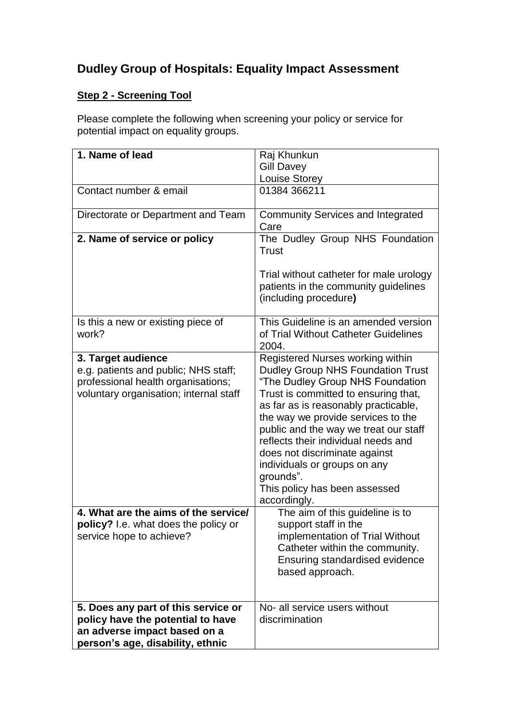# **Dudley Group of Hospitals: Equality Impact Assessment**

## **Step 2 - Screening Tool**

Please complete the following when screening your policy or service for potential impact on equality groups.

| 1. Name of lead                                                                                                                              | Raj Khunkun<br><b>Gill Davey</b><br><b>Louise Storey</b>                                                                                                                                                                                                                                                                                                                                                                                              |
|----------------------------------------------------------------------------------------------------------------------------------------------|-------------------------------------------------------------------------------------------------------------------------------------------------------------------------------------------------------------------------------------------------------------------------------------------------------------------------------------------------------------------------------------------------------------------------------------------------------|
| Contact number & email                                                                                                                       | 01384 366211                                                                                                                                                                                                                                                                                                                                                                                                                                          |
| Directorate or Department and Team                                                                                                           | <b>Community Services and Integrated</b><br>Care                                                                                                                                                                                                                                                                                                                                                                                                      |
| 2. Name of service or policy                                                                                                                 | The Dudley Group NHS Foundation<br>Trust<br>Trial without catheter for male urology<br>patients in the community guidelines<br>(including procedure)                                                                                                                                                                                                                                                                                                  |
| Is this a new or existing piece of<br>work?                                                                                                  | This Guideline is an amended version<br>of Trial Without Catheter Guidelines<br>2004.                                                                                                                                                                                                                                                                                                                                                                 |
| 3. Target audience<br>e.g. patients and public; NHS staff;<br>professional health organisations;<br>voluntary organisation; internal staff   | Registered Nurses working within<br><b>Dudley Group NHS Foundation Trust</b><br>"The Dudley Group NHS Foundation<br>Trust is committed to ensuring that,<br>as far as is reasonably practicable,<br>the way we provide services to the<br>public and the way we treat our staff<br>reflects their individual needs and<br>does not discriminate against<br>individuals or groups on any<br>grounds".<br>This policy has been assessed<br>accordingly. |
| 4. What are the aims of the service/<br>policy? I.e. what does the policy or<br>service hope to achieve?                                     | The aim of this guideline is to<br>support staff in the<br>implementation of Trial Without<br>Catheter within the community.<br><b>Ensuring standardised evidence</b><br>based approach.                                                                                                                                                                                                                                                              |
| 5. Does any part of this service or<br>policy have the potential to have<br>an adverse impact based on a<br>person's age, disability, ethnic | No- all service users without<br>discrimination                                                                                                                                                                                                                                                                                                                                                                                                       |